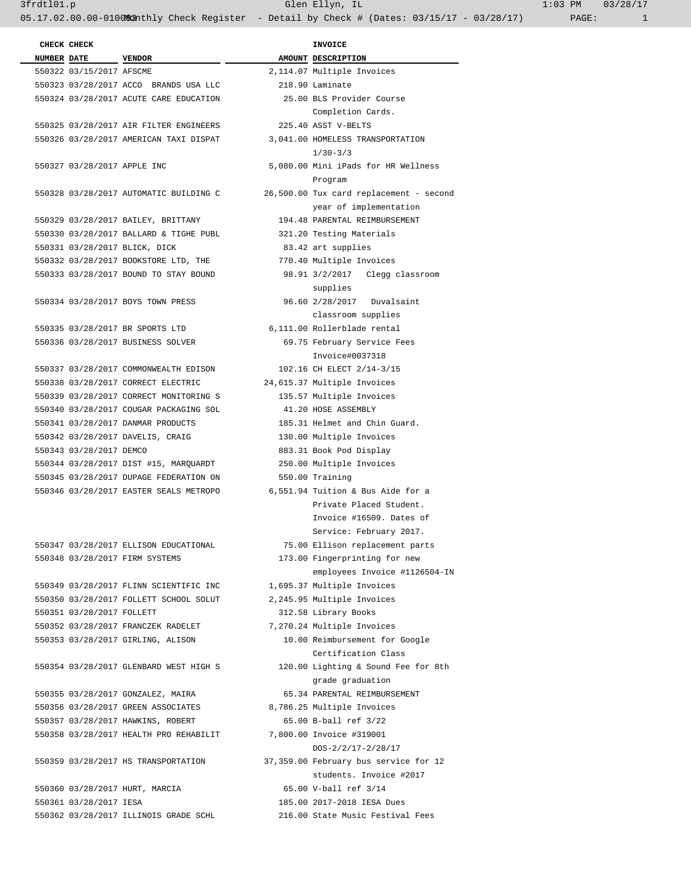3frdtl01.p Glen Ellyn, IL 1:03 PM 03/28/17 05.17.02.00.00-01000&3nthly Check Register - Detail by Check # (Dates: 03/15/17 - 03/28/17) PAGE: 1

|  | CHECK CHECK                 |                                        | <b>INVOICE</b>     |
|--|-----------------------------|----------------------------------------|--------------------|
|  | NUMBER DATE VENDOR          |                                        | AMOUNT DESCRIPTI   |
|  | 550322 03/15/2017 AFSCME    |                                        | 2,114.07 Multiple  |
|  |                             | 550323 03/28/2017 ACCO BRANDS USA LLC  | 218.90 Laminate    |
|  |                             | 550324 03/28/2017 ACUTE CARE EDUCATION | 25.00 BLS Provi    |
|  |                             |                                        | Completio          |
|  |                             | 550325 03/28/2017 AIR FILTER ENGINEERS | 225.40 ASST V-BE   |
|  |                             | 550326 03/28/2017 AMERICAN TAXI DISPAT | 3,041.00 HOMELESS  |
|  |                             |                                        | $1/30 - 3/3$       |
|  | 550327 03/28/2017 APPLE INC |                                        | 5,080.00 Mini iPad |
|  |                             |                                        | Program            |
|  |                             | 550328 03/28/2017 AUTOMATIC BUILDING C | 26,500.00 Tux card |
|  |                             |                                        | year of i          |
|  |                             | 550329 03/28/2017 BAILEY, BRITTANY     | 194.48 PARENTAL    |
|  |                             | 550330 03/28/2017 BALLARD & TIGHE PUBL | 321.20 Testing M   |
|  |                             | 550331 03/28/2017 BLICK, DICK          | 83.42 art suppl    |
|  |                             | 550332 03/28/2017 BOOKSTORE LTD, THE   | 770.40 Multiple    |
|  |                             | 550333 03/28/2017 BOUND TO STAY BOUND  | 98.91 3/2/2017     |
|  |                             |                                        | supplies           |
|  |                             | 550334 03/28/2017 BOYS TOWN PRESS      | 96.60 2/28/2017    |
|  |                             |                                        | classroom          |
|  |                             | 550335 03/28/2017 BR SPORTS LTD        | 6,111.00 Rollerbla |
|  |                             | 550336 03/28/2017 BUSINESS SOLVER      | 69.75 February     |
|  |                             |                                        | Invoice#0          |
|  |                             | 550337 03/28/2017 COMMONWEALTH EDISON  | 102.16 CH ELECT    |
|  |                             | 550338 03/28/2017 CORRECT ELECTRIC     | 24,615.37 Multiple |
|  |                             | 550339 03/28/2017 CORRECT MONITORING S | 135.57 Multiple    |
|  |                             | 550340 03/28/2017 COUGAR PACKAGING SOL | 41.20 HOSE ASSE    |
|  |                             | 550341 03/28/2017 DANMAR PRODUCTS      | 185.31 Helmet an   |
|  |                             | 550342 03/28/2017 DAVELIS, CRAIG       | 130.00 Multiple    |
|  | 550343 03/28/2017 DEMCO     |                                        | 883.31 Book Pod    |
|  |                             | 550344 03/28/2017 DIST #15, MARQUARDT  | 250.00 Multiple    |
|  |                             | 550345 03/28/2017 DUPAGE FEDERATION ON | 550.00 Training    |
|  |                             | 550346 03/28/2017 EASTER SEALS METROPO | 6,551.94 Tuition & |
|  |                             |                                        | Private P          |
|  |                             |                                        | Invoice #          |
|  |                             |                                        | Service:           |
|  |                             | 550347 03/28/2017 ELLISON EDUCATIONAL  | 75.00 Ellison r    |
|  |                             | 550348 03/28/2017 FIRM SYSTEMS         | 173.00 Fingerpri   |
|  |                             |                                        | employees          |
|  |                             | 550349 03/28/2017 FLINN SCIENTIFIC INC | 1,695.37 Multiple  |
|  |                             | 550350 03/28/2017 FOLLETT SCHOOL SOLUT | 2,245.95 Multiple  |
|  | 550351 03/28/2017 FOLLETT   |                                        | 312.58 Library B   |
|  |                             | 550352 03/28/2017 FRANCZEK RADELET     | 7,270.24 Multiple  |
|  |                             | 550353 03/28/2017 GIRLING, ALISON      | 10.00 Reimburse    |
|  |                             |                                        | Certifica          |
|  |                             | 550354 03/28/2017 GLENBARD WEST HIGH S | 120.00 Lighting    |
|  |                             |                                        | grade gra          |
|  |                             | 550355 03/28/2017 GONZALEZ, MAIRA      | 65.34 PARENTAL     |
|  |                             | 550356 03/28/2017 GREEN ASSOCIATES     | 8,786.25 Multiple  |
|  |                             | 550357 03/28/2017 HAWKINS, ROBERT      | 65.00 B-ball re    |
|  |                             | 550358 03/28/2017 HEALTH PRO REHABILIT | 7,800.00 Invoice # |
|  |                             |                                        | $DOS-2/2/1$        |
|  |                             | 550359 03/28/2017 HS TRANSPORTATION    | 37,359.00 February |
|  |                             |                                        |                    |

 550361 03/28/2017 IESA 185.00 2017-2018 IESA Dues 550362 03/28/2017 ILLINOIS GRADE SCHL 216.00 State Music Festival Fees

INVOICE  **NUMBER DATE VENDOR AMOUNT DESCRIPTION**  2,114.07 Multiple Invoices 218.90 Laminate 550324 03/28/2017 ACUTE CARE EDUCATION 25.00 BLS Provider Course Completion Cards. 550325 03/28/2017 AIR FILTER ENGINEERS 225.40 ASST V-BELTS 550326 03/28/2017 AMERICAN TAXI DISPAT 3,041.00 HOMELESS TRANSPORTATION 5,080.00 Mini iPads for HR Wellness Program 26,500.00 Tux card replacement - second year of implementation 550329 03/28/2017 BAILEY, BRITTANY 194.48 PARENTAL REIMBURSEMENT 321.20 Testing Materials 83.42 art supplies 770.40 Multiple Invoices 98.91 3/2/2017 Clegg classroom supplies 96.60 2/28/2017 Duvalsaint classroom supplies 6,111.00 Rollerblade rental 69.75 February Service Fees Invoice#0037318 550337 03/28/2017 COMMONWEALTH EDISON 102.16 CH ELECT 2/14-3/15 24,615.37 Multiple Invoices 135.57 Multiple Invoices 550340 03/28/2017 COUGAR PACKAGING SOL 41.20 HOSE ASSEMBLY 185.31 Helmet and Chin Guard. 130.00 Multiple Invoices 883.31 Book Pod Display 250.00 Multiple Invoices 550.00 Training 6,551.94 Tuition & Bus Aide for a Private Placed Student. Invoice #16509. Dates of Service: February 2017. 550347 03/28/2017 ELLISON EDUCATIONAL 75.00 Ellison replacement parts 173.00 Fingerprinting for new employees Invoice #1126504-IN 1,695.37 Multiple Invoices 2,245.95 Multiple Invoices 312.58 Library Books 7,270.24 Multiple Invoices 10.00 Reimbursement for Google Certification Class 120.00 Lighting & Sound Fee for 8th grade graduation 550355 03/28/2017 GONZALEZ, MAIRA 65.34 PARENTAL REIMBURSEMENT 8,786.25 Multiple Invoices 65.00 B-ball ref 3/22 550358 03/28/2017 HEALTH PRO REHABILIT 7,800.00 Invoice #319001 DOS-2/2/17-2/28/17 37,359.00 February bus service for 12 students. Invoice #2017 550360 03/28/2017 HURT, MARCIA 65.00 V-ball ref 3/14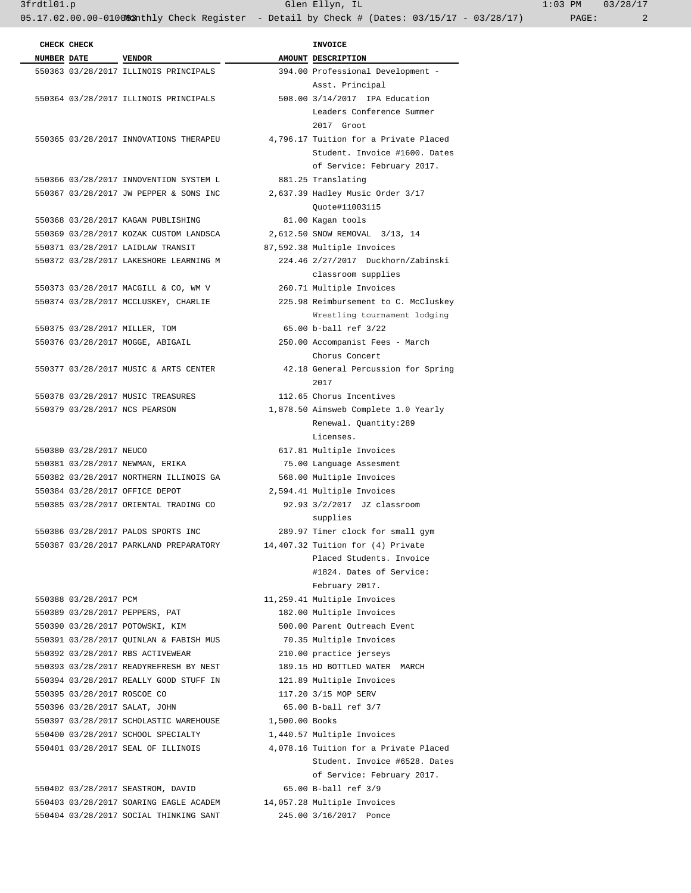|                    | CHECK CHECK                 |                                        |                | <b>INVOICE</b>                        |
|--------------------|-----------------------------|----------------------------------------|----------------|---------------------------------------|
| <b>NUMBER DATE</b> |                             | <b>VENDOR</b>                          |                | AMOUNT DESCRIPTION                    |
|                    |                             | 550363 03/28/2017 ILLINOIS PRINCIPALS  |                | 394.00 Professional Development -     |
|                    |                             |                                        |                | Asst. Principal                       |
|                    |                             | 550364 03/28/2017 ILLINOIS PRINCIPALS  |                | 508.00 3/14/2017 IPA Education        |
|                    |                             |                                        |                | Leaders Conference Summer             |
|                    |                             |                                        |                | 2017 Groot                            |
|                    |                             | 550365 03/28/2017 INNOVATIONS THERAPEU |                | 4,796.17 Tuition for a Private Placed |
|                    |                             |                                        |                | Student. Invoice #1600. Dates         |
|                    |                             |                                        |                | of Service: February 2017.            |
|                    |                             | 550366 03/28/2017 INNOVENTION SYSTEM L |                | 881.25 Translating                    |
|                    |                             | 550367 03/28/2017 JW PEPPER & SONS INC |                | 2,637.39 Hadley Music Order 3/17      |
|                    |                             |                                        |                | Quote#11003115                        |
|                    |                             | 550368 03/28/2017 KAGAN PUBLISHING     |                | 81.00 Kagan tools                     |
|                    |                             | 550369 03/28/2017 KOZAK CUSTOM LANDSCA |                | 2,612.50 SNOW REMOVAL 3/13, 14        |
|                    |                             | 550371 03/28/2017 LAIDLAW TRANSIT      |                | 87,592.38 Multiple Invoices           |
|                    |                             | 550372 03/28/2017 LAKESHORE LEARNING M |                | 224.46 2/27/2017 Duckhorn/Zabinski    |
|                    |                             |                                        |                | classroom supplies                    |
|                    |                             | 550373 03/28/2017 MACGILL & CO, WM V   |                | 260.71 Multiple Invoices              |
|                    |                             | 550374 03/28/2017 MCCLUSKEY, CHARLIE   |                | 225.98 Reimbursement to C. McCluskey  |
|                    |                             |                                        |                | Wrestling tournament lodging          |
|                    |                             | 550375 03/28/2017 MILLER, TOM          |                | 65.00 b-ball ref 3/22                 |
|                    |                             | 550376 03/28/2017 MOGGE, ABIGAIL       |                | 250.00 Accompanist Fees - March       |
|                    |                             |                                        |                | Chorus Concert                        |
|                    |                             | 550377 03/28/2017 MUSIC & ARTS CENTER  |                | 42.18 General Percussion for Spring   |
|                    |                             |                                        |                | 2017                                  |
|                    |                             | 550378 03/28/2017 MUSIC TREASURES      |                | 112.65 Chorus Incentives              |
|                    |                             | 550379 03/28/2017 NCS PEARSON          |                | 1,878.50 Aimsweb Complete 1.0 Yearly  |
|                    |                             |                                        |                | Renewal. Quantity:289                 |
|                    |                             |                                        |                | Licenses.                             |
|                    | 550380 03/28/2017 NEUCO     |                                        |                | 617.81 Multiple Invoices              |
|                    |                             | 550381 03/28/2017 NEWMAN, ERIKA        |                | 75.00 Language Assesment              |
|                    |                             | 550382 03/28/2017 NORTHERN ILLINOIS GA |                | 568.00 Multiple Invoices              |
|                    |                             | 550384 03/28/2017 OFFICE DEPOT         |                | 2,594.41 Multiple Invoices            |
|                    |                             | 550385 03/28/2017 ORIENTAL TRADING CO  |                | 92.93 3/2/2017 JZ classroom           |
|                    |                             |                                        |                | supplies                              |
|                    |                             | 550386 03/28/2017 PALOS SPORTS INC     |                | 289.97 Timer clock for small gym      |
|                    |                             | 550387 03/28/2017 PARKLAND PREPARATORY |                | 14,407.32 Tuition for (4) Private     |
|                    |                             |                                        |                | Placed Students, Invoice              |
|                    |                             |                                        |                | #1824. Dates of Service:              |
|                    |                             |                                        |                | February 2017.                        |
|                    | 550388 03/28/2017 PCM       |                                        |                | 11,259.41 Multiple Invoices           |
|                    |                             | 550389 03/28/2017 PEPPERS, PAT         |                | 182.00 Multiple Invoices              |
|                    |                             | 550390 03/28/2017 POTOWSKI, KIM        |                | 500.00 Parent Outreach Event          |
|                    |                             | 550391 03/28/2017 OUINLAN & FABISH MUS |                | 70.35 Multiple Invoices               |
|                    |                             | 550392 03/28/2017 RBS ACTIVEWEAR       |                | 210.00 practice jerseys               |
|                    |                             | 550393 03/28/2017 READYREFRESH BY NEST |                | 189.15 HD BOTTLED WATER MARCH         |
|                    |                             | 550394 03/28/2017 REALLY GOOD STUFF IN |                | 121.89 Multiple Invoices              |
|                    | 550395 03/28/2017 ROSCOE CO |                                        |                | 117.20 3/15 MOP SERV                  |
|                    |                             | 550396 03/28/2017 SALAT, JOHN          |                | 65.00 B-ball ref 3/7                  |
|                    |                             | 550397 03/28/2017 SCHOLASTIC WAREHOUSE | 1,500.00 Books |                                       |
|                    |                             | 550400 03/28/2017 SCHOOL SPECIALTY     |                | 1,440.57 Multiple Invoices            |
|                    |                             | 550401 03/28/2017 SEAL OF ILLINOIS     |                | 4,078.16 Tuition for a Private Placed |
|                    |                             |                                        |                | Student. Invoice #6528. Dates         |
|                    |                             |                                        |                | of Service: February 2017.            |
|                    |                             | 550402 03/28/2017 SEASTROM, DAVID      |                | 65.00 B-ball ref 3/9                  |
|                    |                             | 550403 03/28/2017 SOARING EAGLE ACADEM |                | 14,057.28 Multiple Invoices           |
|                    |                             | 550404 03/28/2017 SOCIAL THINKING SANT |                | 245.00 3/16/2017 Ponce                |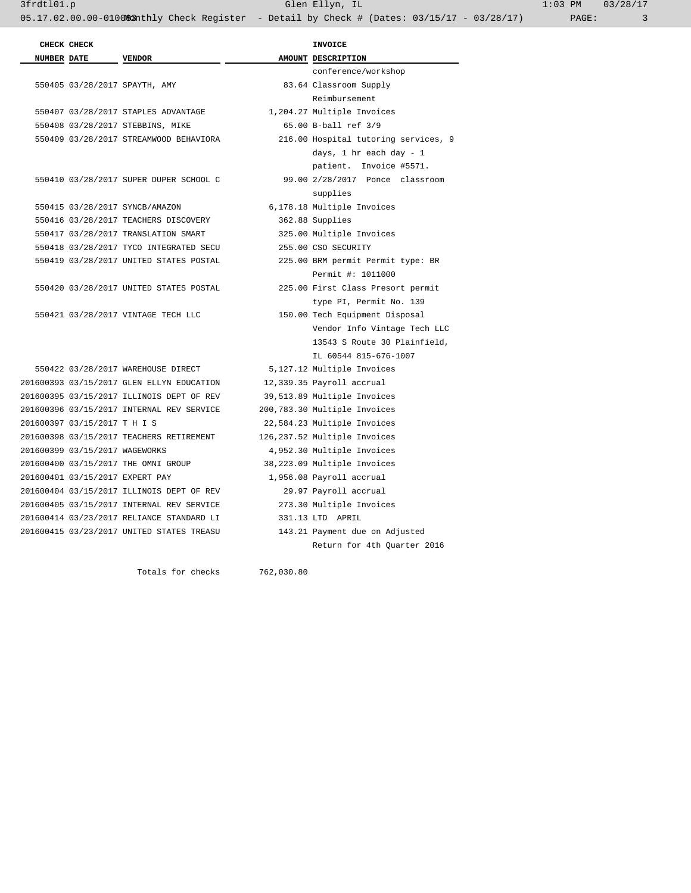|             | CHECK CHECK                     |                                           |            | <b>INVOICE</b>                       |
|-------------|---------------------------------|-------------------------------------------|------------|--------------------------------------|
| NUMBER DATE |                                 | <b>VENDOR</b>                             |            | AMOUNT DESCRIPTION                   |
|             |                                 |                                           |            | conference/workshop                  |
|             |                                 | 550405 03/28/2017 SPAYTH, AMY             |            | 83.64 Classroom Supply               |
|             |                                 |                                           |            | Reimbursement                        |
|             |                                 | 550407 03/28/2017 STAPLES ADVANTAGE       |            | 1,204.27 Multiple Invoices           |
|             |                                 | 550408 03/28/2017 STEBBINS, MIKE          |            | 65.00 B-ball ref 3/9                 |
|             |                                 | 550409 03/28/2017 STREAMWOOD BEHAVIORA    |            | 216.00 Hospital tutoring services, 9 |
|             |                                 |                                           |            | days, $1$ hr each day - $1$          |
|             |                                 |                                           |            | patient. Invoice #5571.              |
|             |                                 | 550410 03/28/2017 SUPER DUPER SCHOOL C    |            | 99.00 2/28/2017 Ponce classroom      |
|             |                                 |                                           |            | supplies                             |
|             |                                 | 550415 03/28/2017 SYNCB/AMAZON            |            | 6,178.18 Multiple Invoices           |
|             |                                 | 550416 03/28/2017 TEACHERS DISCOVERY      |            | 362.88 Supplies                      |
|             |                                 | 550417 03/28/2017 TRANSLATION SMART       |            | 325.00 Multiple Invoices             |
|             |                                 | 550418 03/28/2017 TYCO INTEGRATED SECU    |            | 255.00 CSO SECURITY                  |
|             |                                 | 550419 03/28/2017 UNITED STATES POSTAL    |            | 225.00 BRM permit Permit type: BR    |
|             |                                 |                                           |            | Permit #: 1011000                    |
|             |                                 | 550420 03/28/2017 UNITED STATES POSTAL    |            | 225.00 First Class Presort permit    |
|             |                                 |                                           |            | type PI, Permit No. 139              |
|             |                                 | 550421 03/28/2017 VINTAGE TECH LLC        |            | 150.00 Tech Equipment Disposal       |
|             |                                 |                                           |            | Vendor Info Vintage Tech LLC         |
|             |                                 |                                           |            | 13543 S Route 30 Plainfield,         |
|             |                                 |                                           |            | IL 60544 815-676-1007                |
|             |                                 | 550422 03/28/2017 WAREHOUSE DIRECT        |            | 5,127.12 Multiple Invoices           |
|             |                                 | 201600393 03/15/2017 GLEN ELLYN EDUCATION |            | 12,339.35 Payroll accrual            |
|             |                                 | 201600395 03/15/2017 ILLINOIS DEPT OF REV |            | 39,513.89 Multiple Invoices          |
|             |                                 | 201600396 03/15/2017 INTERNAL REV SERVICE |            | 200,783.30 Multiple Invoices         |
|             | 201600397 03/15/2017 T H I S    |                                           |            | 22,584.23 Multiple Invoices          |
|             |                                 | 201600398 03/15/2017 TEACHERS RETIREMENT  |            | 126,237.52 Multiple Invoices         |
|             | 201600399 03/15/2017 WAGEWORKS  |                                           |            | 4,952.30 Multiple Invoices           |
|             |                                 | 201600400 03/15/2017 THE OMNI GROUP       |            | 38,223.09 Multiple Invoices          |
|             | 201600401 03/15/2017 EXPERT PAY |                                           |            | 1,956.08 Payroll accrual             |
|             |                                 | 201600404 03/15/2017 ILLINOIS DEPT OF REV |            | 29.97 Payroll accrual                |
|             |                                 | 201600405 03/15/2017 INTERNAL REV SERVICE |            | 273.30 Multiple Invoices             |
|             |                                 | 201600414 03/23/2017 RELIANCE STANDARD LI |            | 331.13 LTD APRIL                     |
|             |                                 | 201600415 03/23/2017 UNITED STATES TREASU |            | 143.21 Payment due on Adjusted       |
|             |                                 |                                           |            | Return for 4th Quarter 2016          |
|             |                                 |                                           |            |                                      |
|             |                                 | Totals for checks                         | 762,030.80 |                                      |